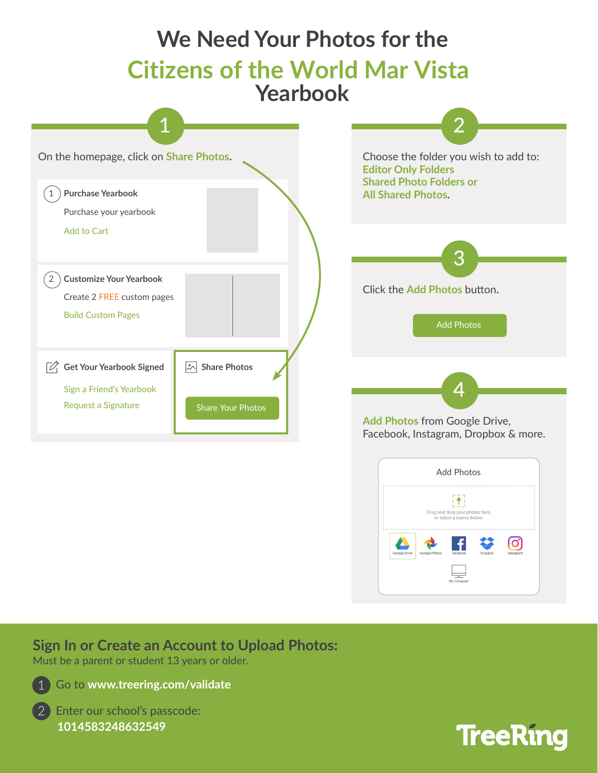

## **Sign In or Create an Account to Upload Photos:**

Must be a parent or student 13 years or older.



Go to **www.treering.com/validate**

2 Enter our school's passcode: